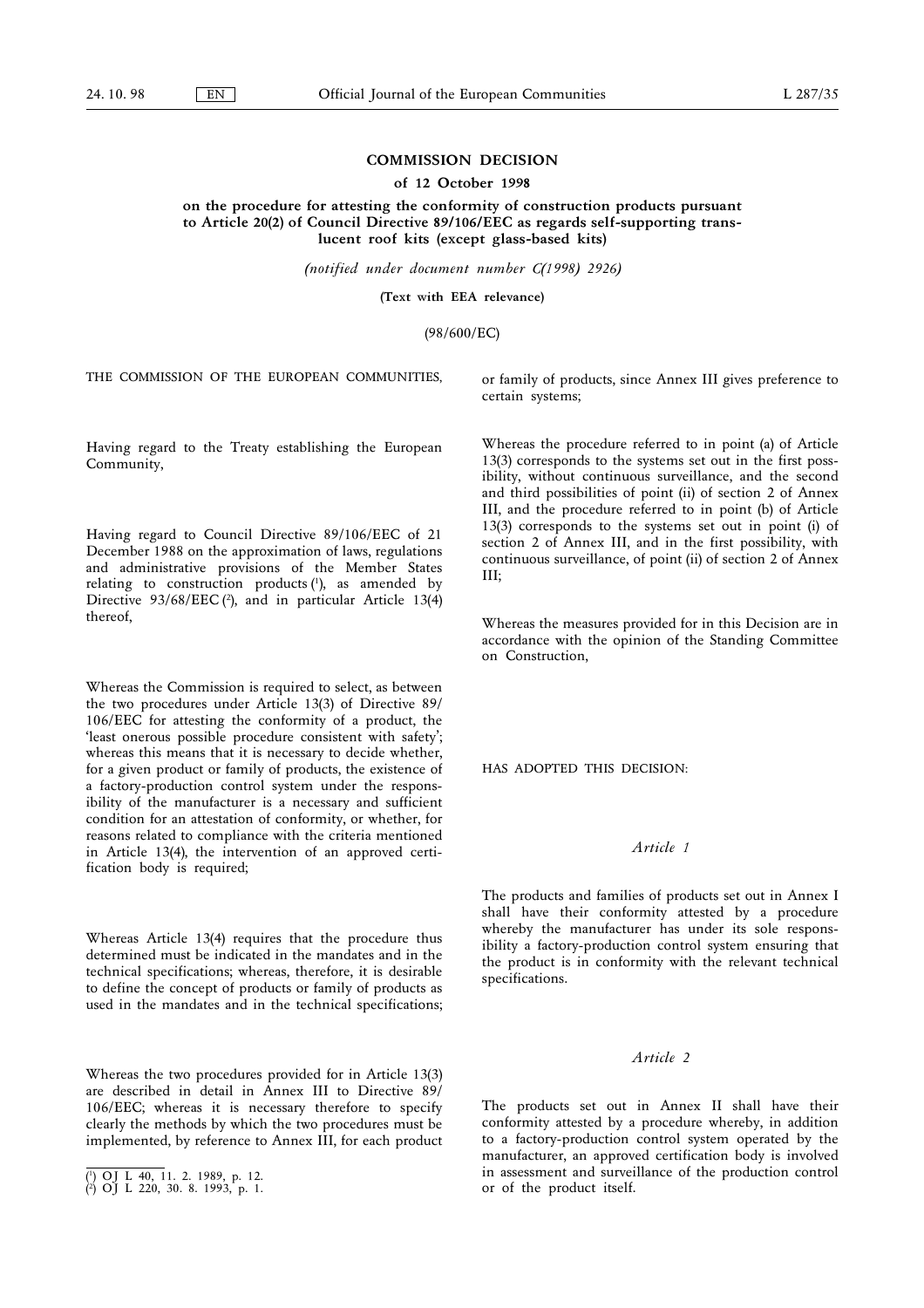## COMMISSION DECISION

## of 12 October 1998

on the procedure for attesting the conformity of construction products pursuant to Article 20(2) of Council Directive 89/106/EEC as regards self-supporting translucent roof kits (except glass-based kits)

(notified under document number C(1998) 2926)

(Text with EEA relevance)

(98/600/EC)

THE COMMISSION OF THE EUROPEAN COMMUNITIES,

or family of products, since Annex III gives preference to certain systems;

Having regard to the Treaty establishing the European Community,

Having regard to Council Directive 89/106/EEC of 21 December 1988 on the approximation of laws, regulations and administrative provisions of the Member States relating to construction products $(1)$ , as amended by Directive 93/68/EEC (2), and in particular Article 13(4) thereof,

Whereas the Commission is required to select, as between the two procedures under Article 13(3) of Directive 89/ 106/EEC for attesting the conformity of a product, the 'least onerous possible procedure consistent with safety'; whereas this means that it is necessary to decide whether, for a given product or family of products, the existence of a factory-production control system under the responsibility of the manufacturer is a necessary and sufficient condition for an attestation of conformity, or whether, for reasons related to compliance with the criteria mentioned in Article 13(4), the intervention of an approved certification body is required;

Whereas Article 13(4) requires that the procedure thus determined must be indicated in the mandates and in the technical specifications; whereas, therefore, it is desirable to define the concept of products or family of products as used in the mandates and in the technical specifications;

Whereas the two procedures provided for in Article 13(3) are described in detail in Annex III to Directive 89/ 106/EEC; whereas it is necessary therefore to specify clearly the methods by which the two procedures must be implemented, by reference to Annex III, for each product

Whereas the procedure referred to in point (a) of Article 13(3) corresponds to the systems set out in the first possibility, without continuous surveillance, and the second and third possibilities of point (ii) of section 2 of Annex III, and the procedure referred to in point (b) of Article 13(3) corresponds to the systems set out in point (i) of section 2 of Annex III, and in the first possibility, with continuous surveillance, of point (ii) of section 2 of Annex III;

Whereas the measures provided for in this Decision are in accordance with the opinion of the Standing Committee on Construction,

HAS ADOPTED THIS DECISION:

# Article 1

The products and families of products set out in Annex I shall have their conformity attested by a procedure whereby the manufacturer has under its sole responsibility a factory-production control system ensuring that the product is in conformity with the relevant technical specifications.

## Article 2

The products set out in Annex II shall have their conformity attested by a procedure whereby, in addition to a factory-production control system operated by the manufacturer, an approved certification body is involved in assessment and surveillance of the production control (\*) OJ L 40, 11. 2. 1989, p. 12.<br>(\*) OJ L 220, 30. 8. 1993, p. 1. let be product itself.

 $(1)$  OJ L 40, 11. 2. 1989, p. 12.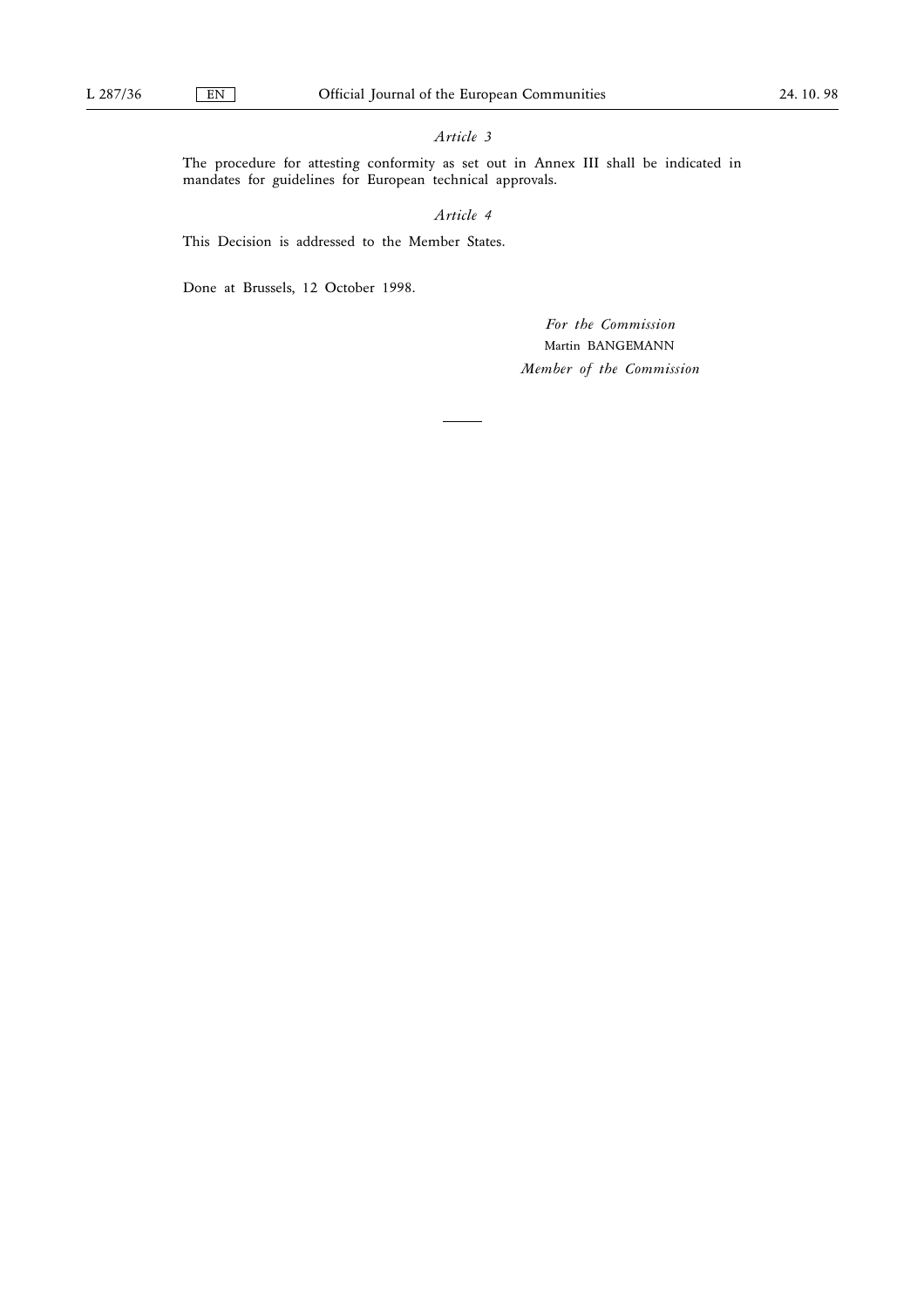# Article 3

The procedure for attesting conformity as set out in Annex III shall be indicated in mandates for guidelines for European technical approvals.

# Article 4

This Decision is addressed to the Member States.

Done at Brussels, 12 October 1998.

For the Commission Martin BANGEMANN Member of the Commission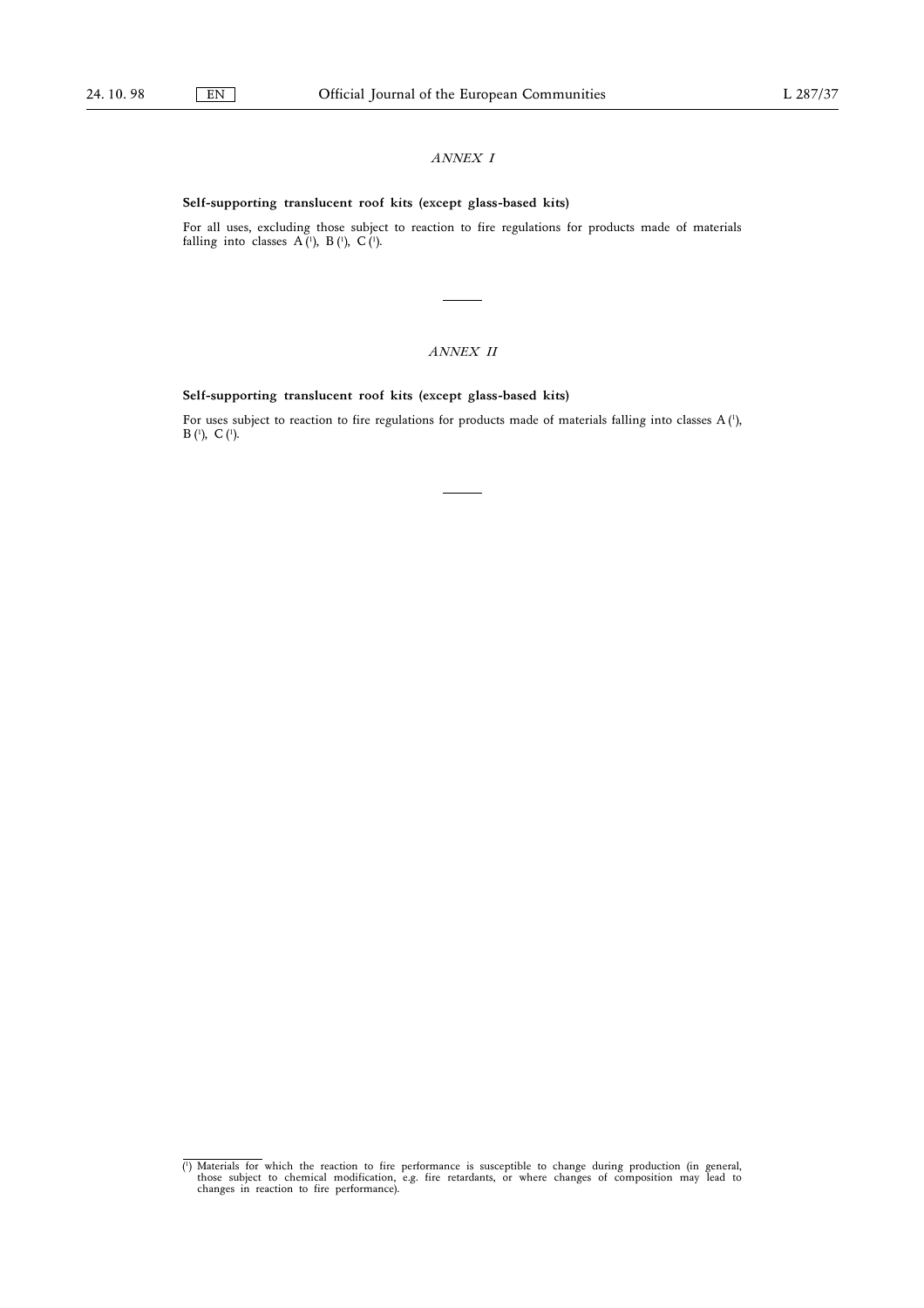## ANNEX I

## Self-supporting translucent roof kits (except glass-based kits)

For all uses, excluding those subject to reaction to fire regulations for products made of materials falling into classes  $A(1)$ ,  $B(1)$ ,  $C(1)$ .

# ANNEX II

## Self-supporting translucent roof kits (except glass-based kits)

For uses subject to reaction to fire regulations for products made of materials falling into classes A (1),  $B(1), C(1).$ 

<sup>(1)</sup> Materials for which the reaction to fire performance is susceptible to change during production (in general, those subject to chemical modification, e.g. fire retardants, or where changes of composition may lead to cha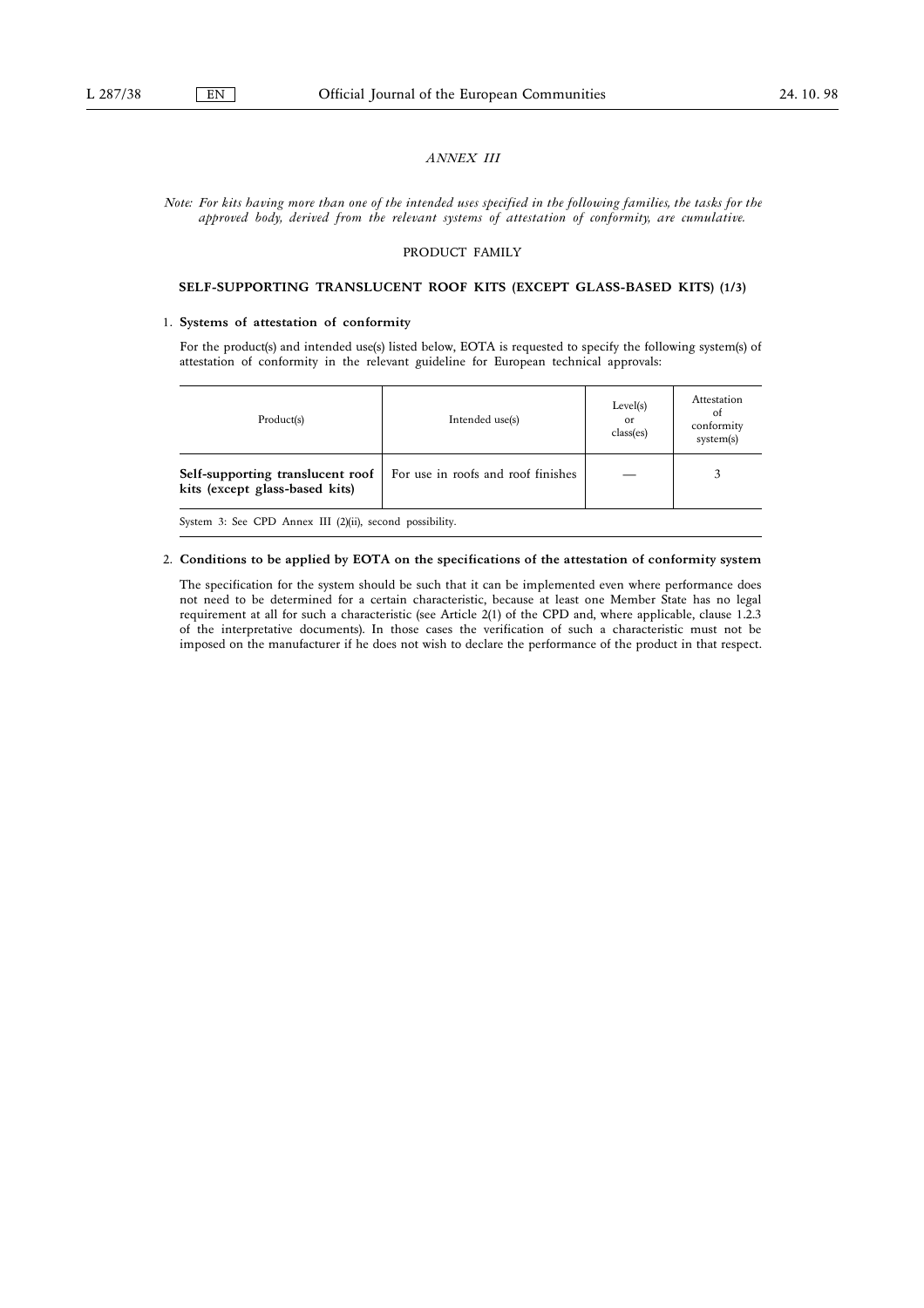## ANNEX III

Note: For kits having more than one of the intended uses specified in the following families, the tasks for the approved body, derived from the relevant systems of attestation of conformity, are cumulative.

#### PRODUCT FAMILY

## SELF-SUPPORTING TRANSLUCENT ROOF KITS (EXCEPT GLASS-BASED KITS) (1/3)

#### 1. Systems of attestation of conformity

For the product(s) and intended use(s) listed below, EOTA is requested to specify the following system(s) of attestation of conformity in the relevant guideline for European technical approvals:

| Product(s)                                                         | Intended use(s)                    | Level(s)<br>or<br>class(es) | Attestation<br>of<br>conformity<br>system(s) |
|--------------------------------------------------------------------|------------------------------------|-----------------------------|----------------------------------------------|
| Self-supporting translucent roof<br>kits (except glass-based kits) | For use in roofs and roof finishes |                             |                                              |
| System 3: See CPD Annex III (2)(ii), second possibility.           |                                    |                             |                                              |

## 2. Conditions to be applied by EOTA on the specifications of the attestation of conformity system

The specification for the system should be such that it can be implemented even where performance does not need to be determined for a certain characteristic, because at least one Member State has no legal requirement at all for such a characteristic (see Article 2(1) of the CPD and, where applicable, clause 1.2.3 of the interpretative documents). In those cases the verification of such a characteristic must not be imposed on the manufacturer if he does not wish to declare the performance of the product in that respect.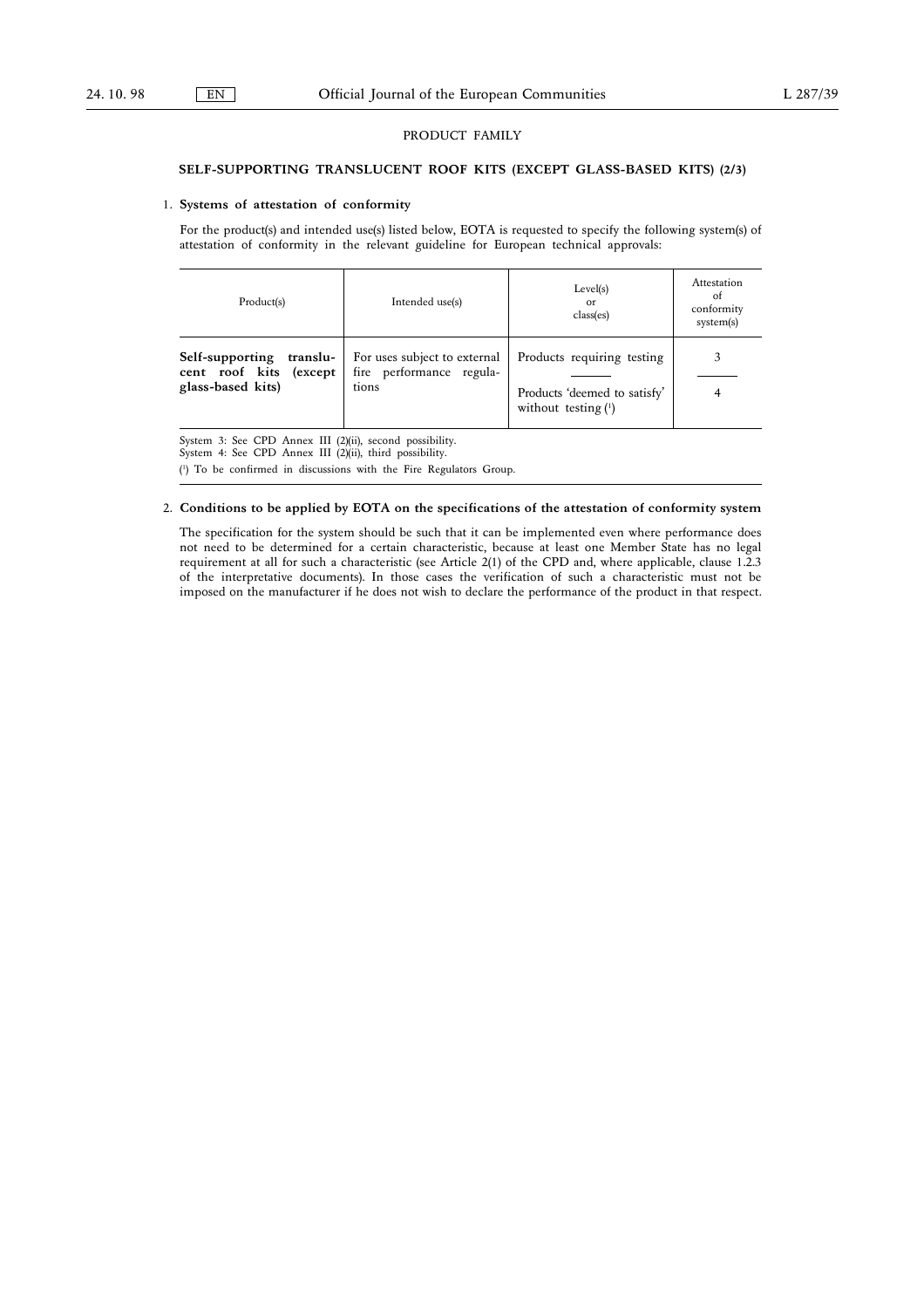#### PRODUCT FAMILY

## SELF-SUPPORTING TRANSLUCENT ROOF KITS (EXCEPT GLASS-BASED KITS) (2/3)

#### 1. Systems of attestation of conformity

For the product(s) and intended use(s) listed below, EOTA is requested to specify the following system(s) of attestation of conformity in the relevant guideline for European technical approvals:

| Product(s)                                                                 | Intended use(s)                                                   | Level(s)<br><sub>or</sub><br>class(es)                                              | Attestation<br>ot<br>conformity<br>system(s) |
|----------------------------------------------------------------------------|-------------------------------------------------------------------|-------------------------------------------------------------------------------------|----------------------------------------------|
| Self-supporting<br>translu-<br>cent roof kits (except<br>glass-based kits) | For uses subject to external<br>fire performance regula-<br>tions | Products requiring testing<br>Products 'deemed to satisfy'<br>without testing $(1)$ |                                              |

System 3: See CPD Annex III (2)(ii), second possibility.

System 4: See CPD Annex III  $(2)(ii)$ , third possibility.

( 1 ) To be confirmed in discussions with the Fire Regulators Group.

## 2. Conditions to be applied by EOTA on the specifications of the attestation of conformity system

The specification for the system should be such that it can be implemented even where performance does not need to be determined for a certain characteristic, because at least one Member State has no legal requirement at all for such a characteristic (see Article 2(1) of the CPD and, where applicable, clause 1.2.3 of the interpretative documents). In those cases the verification of such a characteristic must not be imposed on the manufacturer if he does not wish to declare the performance of the product in that respect.